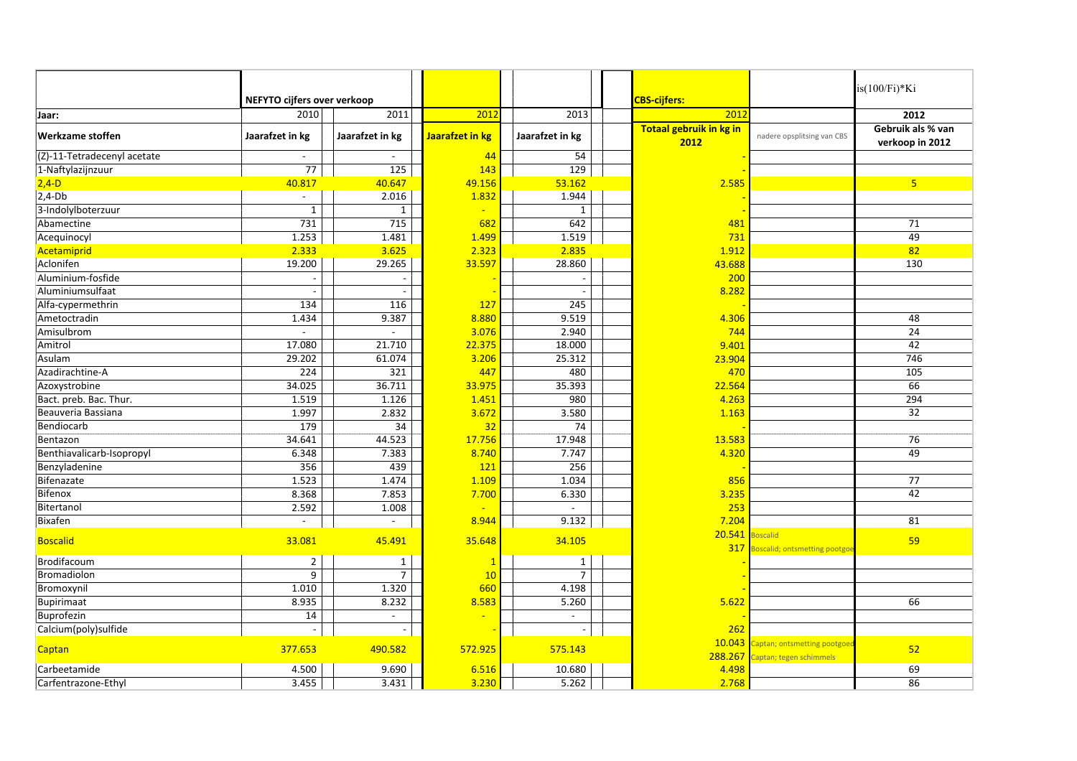| $is(100/Fi)*Ki$<br>NEFYTO cijfers over verkoop<br><b>CBS-cijfers:</b><br>2011<br>2010<br>2012<br>2013<br>201<br>Jaar:<br>Totaal gebruik in kg in<br>Jaarafzet in kg<br><b>Werkzame stoffen</b><br>Jaarafzet in kg<br>Jaarafzet in kg<br>Jaarafzet in kg<br>nadere opsplitsing van CBS | 2012<br>Gebruik als % van<br>verkoop in 2012 |
|---------------------------------------------------------------------------------------------------------------------------------------------------------------------------------------------------------------------------------------------------------------------------------------|----------------------------------------------|
|                                                                                                                                                                                                                                                                                       |                                              |
|                                                                                                                                                                                                                                                                                       |                                              |
| 2012                                                                                                                                                                                                                                                                                  |                                              |
| $\overline{(Z)-11}$ -Tetradecenyl acetate<br>44<br>54<br>$\overline{\phantom{a}}$<br>$\overline{\phantom{a}}$                                                                                                                                                                         |                                              |
| $\overline{77}$<br>129<br>125<br>1-Naftylazijnzuur<br>143                                                                                                                                                                                                                             |                                              |
| $2,4-D$<br>40.817<br>40.647<br>49.156<br>53.162<br>2.585                                                                                                                                                                                                                              | 5 <sup>1</sup>                               |
| 1.944<br>$2,4-Db$<br>2.016<br>1.832<br>$\overline{a}$                                                                                                                                                                                                                                 |                                              |
| 3-Indolylboterzuur<br>$\mathbf{1}$<br>$\mathbf{1}$<br>1                                                                                                                                                                                                                               |                                              |
| 731<br>715<br>642<br>Abamectine<br>682<br>481                                                                                                                                                                                                                                         | 71                                           |
| 1.253<br>1.481<br>1.519<br>Acequinocyl<br>1.499<br>731                                                                                                                                                                                                                                | 49                                           |
| 2.333<br>2.323<br>2.835<br>Acetamiprid<br>3.625<br>1.912                                                                                                                                                                                                                              | 82                                           |
| Aclonifen<br>19.200<br>33.597<br>29.265<br>28.860<br>43.688                                                                                                                                                                                                                           | 130                                          |
| Aluminium-fosfide<br>200                                                                                                                                                                                                                                                              |                                              |
| Aluminiumsulfaat<br>8.282                                                                                                                                                                                                                                                             |                                              |
| 134<br>Alfa-cypermethrin<br>116<br>127<br>245                                                                                                                                                                                                                                         |                                              |
| 1.434<br>9.387<br>8.880<br>9.519<br>Ametoctradin<br>4.306                                                                                                                                                                                                                             | 48                                           |
| Amisulbrom<br>2.940<br>3.076<br>744<br>$\overline{a}$<br>$\overline{a}$                                                                                                                                                                                                               | 24                                           |
| 17.080<br>21.710<br>22.375<br>Amitrol<br>18.000<br>9.401                                                                                                                                                                                                                              | 42                                           |
| 29.202<br>61.074<br>3.206<br>25.312<br>23.904<br>Asulam                                                                                                                                                                                                                               | 746                                          |
| Azadirachtine-A<br>224<br>321<br>480<br>447<br>470                                                                                                                                                                                                                                    | 105                                          |
| 34.025<br>36.711<br>33.975<br>35.393<br>22.564<br>Azoxystrobine                                                                                                                                                                                                                       | 66                                           |
| 1.519<br>980<br>Bact. preb. Bac. Thur.<br>1.126<br>1.451<br>4.263                                                                                                                                                                                                                     | 294                                          |
| Beauveria Bassiana<br>1.997<br>2.832<br>3.672<br>3.580<br>1.163                                                                                                                                                                                                                       | 32                                           |
| 179<br>74<br>Bendiocarb<br>34<br>32                                                                                                                                                                                                                                                   |                                              |
| Bentazon<br>34.641<br>44.523<br>17.756<br>17.948<br>13.583                                                                                                                                                                                                                            | 76                                           |
| Benthiavalicarb-Isopropyl<br>6.348<br>7.383<br>8.740<br>7.747<br>4.320                                                                                                                                                                                                                | 49                                           |
| Benzyladenine<br>356<br>439<br>121<br>256                                                                                                                                                                                                                                             |                                              |
| Bifenazate<br>1.523<br>1.474<br>1.109<br>1.034<br>856                                                                                                                                                                                                                                 | $\overline{77}$                              |
| Bifenox<br>8.368<br>7.853<br>7.700<br>6.330<br>3.235                                                                                                                                                                                                                                  | 42                                           |
| Bitertanol<br>2.592<br>1.008<br>253                                                                                                                                                                                                                                                   |                                              |
| 8.944<br>7.204<br>Bixafen<br>9.132<br>$\sim$<br>$\overline{\phantom{a}}$                                                                                                                                                                                                              | 81                                           |
| 20.541<br>oscalid<br>33.081<br>45.491<br>34.105<br><b>Boscalid</b><br>35.648<br>317<br>Boscalid; ontsmetting pootgo                                                                                                                                                                   | 59                                           |
| Brodifacoum<br>$\mathbf 2$<br>$\mathbf{1}$<br>$\mathbf{1}$<br>1                                                                                                                                                                                                                       |                                              |
| Bromadiolon<br>9<br>7<br>$\overline{7}$<br>10                                                                                                                                                                                                                                         |                                              |
| 1.010<br>Bromoxynil<br>1.320<br>660<br>4.198                                                                                                                                                                                                                                          |                                              |
| 8.935<br>Bupirimaat<br>8.232<br>8.583<br>5.260<br>5.622                                                                                                                                                                                                                               | 66                                           |
| Buprofezin<br>14<br>$\blacksquare$                                                                                                                                                                                                                                                    |                                              |
| Calcium(poly)sulfide<br>262<br>$\overline{\phantom{a}}$                                                                                                                                                                                                                               |                                              |
| 10.043<br>Captan; ontsmetting pootgoe<br>377.653<br>490.582<br>575.143<br>572.925<br>Captan<br>288.267<br>Captan; tegen schimmels                                                                                                                                                     | 52                                           |
| 4.500<br>9.690<br>6.516<br>10.680<br>Carbeetamide<br>4.498                                                                                                                                                                                                                            | 69                                           |
| 3.230<br>2.768<br>3.455<br>3.431<br>5.262<br>Carfentrazone-Ethyl                                                                                                                                                                                                                      | 86                                           |